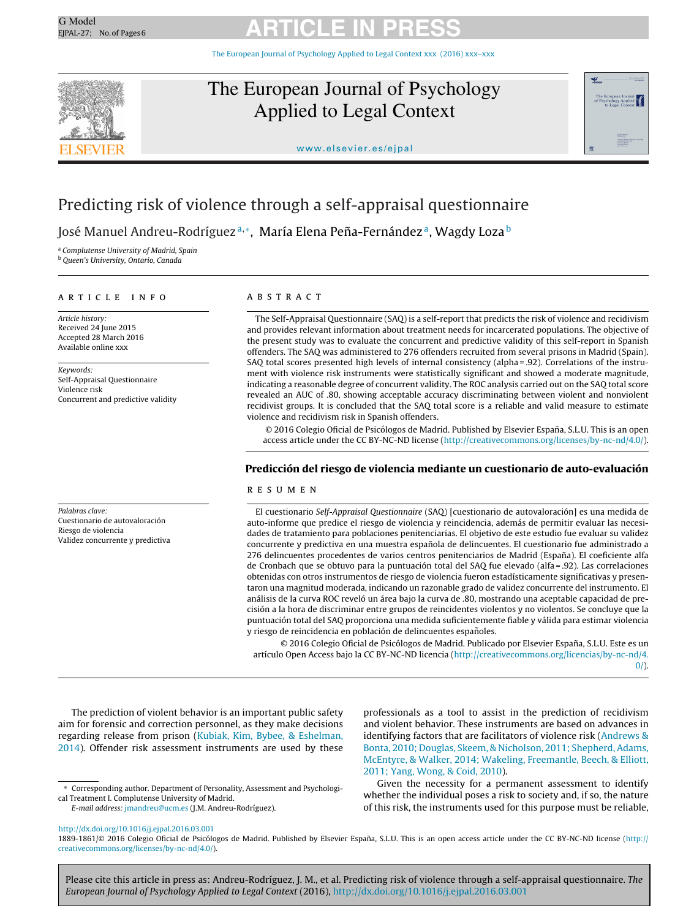The European Journal of [Psychology](dx.doi.org/10.1016/j.ejpal.2016.03.001) Applied to Legal Context xxx (2016) xxx–xxx



## The European Journal of Psychology Applied to Legal Context



<www.elsevier.es/ejpal>

## Predicting risk of violence through a self-appraisal questionnaire

José Manuel Andreu-Rodríguez<sup>a,∗</sup>, María Elena Peña-Fernández<sup>a</sup>, Wagdy Loza<sup>b</sup>

<sup>a</sup> Complutense University of Madrid, Spain

<sup>b</sup> Queen's University, Ontario, Canada

### a r t i c l e i n f o

Article history: Received 24 June 2015 Accepted 28 March 2016 Available online xxx

Keywords: Self-Appraisal Questionnaire Violence risk Concurrent and predictive validity

Palabras clave: Cuestionario de autovaloración Riesgo de violencia Validez concurrente y predictiva

### A B S T R A C T

The Self-Appraisal Questionnaire (SAQ) is a self-report that predicts the risk of violence and recidivism and provides relevant information about treatment needs for incarcerated populations. The objective of the present study was to evaluate the concurrent and predictive validity of this self-report in Spanish offenders. The SAQ was administered to 276 offenders recruited from several prisons in Madrid (Spain). SAQ total scores presented high levels of internal consistency (alpha = .92). Correlations of the instrument with violence risk instruments were statistically significant and showed a moderate magnitude, indicating a reasonable degree of concurrent validity. The ROC analysis carried out on the SAQ total score revealed an AUC of .80, showing acceptable accuracy discriminating between violent and nonviolent recidivist groups. It is concluded that the SAQ total score is a reliable and valid measure to estimate violence and recidivism risk in Spanish offenders.

© 2016 Colegio Oficial de Psicólogos de Madrid. Published by Elsevier España, S.L.U. This is an open access article under the CC BY-NC-ND license [\(http://creativecommons.org/licenses/by-nc-nd/4.0/](http://creativecommons.org/licenses/by-nc-nd/4.0/)).

### **Predicción del riesgo de violencia mediante un cuestionario de auto-evaluación**

#### r e s u m e n

El cuestionario Self-Appraisal Questionnaire (SAQ) [cuestionario de autovaloración] es una medida de auto-informe que predice el riesgo de violencia y reincidencia, además de permitir evaluar las necesidades de tratamiento para poblaciones penitenciarias. El objetivo de este estudio fue evaluar su validez concurrente y predictiva en una muestra española de delincuentes. El cuestionario fue administrado a 276 delincuentes procedentes de varios centros penitenciarios de Madrid (España). El coeficiente alfa de Cronbach que se obtuvo para la puntuación total del SAQ fue elevado (alfa = .92). Las correlaciones obtenidas con otros instrumentos de riesgo de violencia fueron estadísticamente significativas y presentaron una magnitud moderada, indicando un razonable grado de validez concurrente del instrumento. El análisis de la curva ROC reveló un área bajo la curva de .80, mostrando una aceptable capacidad de precisión a la hora de discriminar entre grupos de reincidentes violentos y no violentos. Se concluye que la puntuación total del SAQ proporciona una medida suficientemente fiable y válida para estimar violencia y riesgo de reincidencia en población de delincuentes españoles.

© 2016 Colegio Oficial de Psicólogos de Madrid. Publicado por Elsevier España, S.L.U. Este es un artículo Open Access bajo la CC BY-NC-ND licencia [\(http://creativecommons.org/licencias/by-nc-nd/4.](http://creativecommons.org/licencias/by-nc-nd/4.0/)  $0$ ).

The prediction of violent behavior is an important public safety aim for forensic and correction personnel, as they make decisions regarding release from prison [\(Kubiak,](#page-5-0) [Kim,](#page-5-0) [Bybee,](#page-5-0) [&](#page-5-0) [Eshelman,](#page-5-0) [2014\).](#page-5-0) Offender risk assessment instruments are used by these

E-mail address: [jmandreu@ucm.es](mailto:jmandreu@ucm.es) (J.M. Andreu-Rodríguez).

professionals as a tool to assist in the prediction of recidivism and violent behavior. These instruments are based on advances in identifying factors that are facilitators of violence risk ([Andrews](#page-5-0) [&](#page-5-0) [Bonta,](#page-5-0) [2010;](#page-5-0) [Douglas,](#page-5-0) [Skeem,](#page-5-0) [&](#page-5-0) [Nicholson,](#page-5-0) [2011;](#page-5-0) [Shepherd,](#page-5-0) [Adams,](#page-5-0) [McEntyre,](#page-5-0) [&](#page-5-0) [Walker,](#page-5-0) [2014;](#page-5-0) [Wakeling,](#page-5-0) [Freemantle,](#page-5-0) [Beech,](#page-5-0) [&](#page-5-0) [Elliott,](#page-5-0) [2011;](#page-5-0) [Yang,](#page-5-0) [Wong,](#page-5-0) [&](#page-5-0) [Coid,](#page-5-0) [2010\).](#page-5-0)

Given the necessity for a permanent assessment to identify whether the individual poses a risk to society and, if so, the nature of this risk, the instruments used for this purpose must be reliable,

[http://dx.doi.org/10.1016/j.ejpal.2016.03.001](dx.doi.org/10.1016/j.ejpal.2016.03.001)

1889-1861/© 2016 Colegio Oficial de Psicólogos de Madrid. Published by Elsevier España, S.L.U. This is an open access article under the CC BY-NC-ND license ([http://](http://creativecommons.org/licenses/by-nc-nd/4.0/) [creativecommons.org/licenses/by-nc-nd/4.0/](http://creativecommons.org/licenses/by-nc-nd/4.0/)).

<sup>∗</sup> Corresponding author. Department of Personality, Assessment and Psychological Treatment I. Complutense University of Madrid.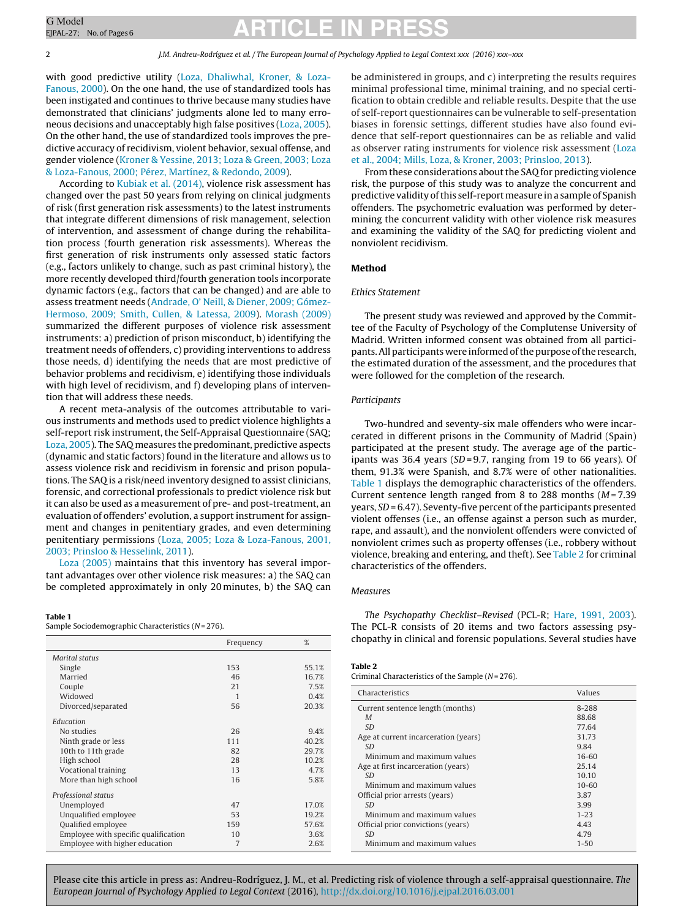2 J.M. Andreu-Rodríguez et al. / The European Journal of Psychology Applied to Legal Context xxx (2016) xxx–xxx

with good predictive utility ([Loza,](#page-5-0) [Dhaliwhal,](#page-5-0) [Kroner,](#page-5-0) [&](#page-5-0) [Loza-](#page-5-0)Fanous, [2000\).](#page-5-0) On the one hand, the use of standardized tools has been instigated and continues to thrive because many studies have demonstrated that clinicians' judgments alone led to many erroneous decisions and unacceptably high false positives [\(Loza,](#page-5-0) [2005\).](#page-5-0) On the other hand, the use of standardized tools improves the predictive accuracy of recidivism, violent behavior, sexual offense, and gender violence [\(Kroner](#page-5-0) [&](#page-5-0) [Yessine,](#page-5-0) [2013;](#page-5-0) [Loza](#page-5-0) [&](#page-5-0) [Green,](#page-5-0) [2003;](#page-5-0) [Loza](#page-5-0) [&](#page-5-0) [Loza-Fanous,](#page-5-0) [2000;](#page-5-0) [Pérez,](#page-5-0) [Martínez,](#page-5-0) [&](#page-5-0) [Redondo,](#page-5-0) [2009\).](#page-5-0)

According to [Kubiak](#page-5-0) et [al.](#page-5-0) [\(2014\),](#page-5-0) violence risk assessment has changed over the past 50 years from relying on clinical judgments of risk (first generation risk assessments) to the latest instruments that integrate different dimensions of risk management, selection of intervention, and assessment of change during the rehabilitation process (fourth generation risk assessments). Whereas the first generation of risk instruments only assessed static factors (e.g., factors unlikely to change, such as past criminal history), the more recently developed third/fourth generation tools incorporate dynamic factors (e.g., factors that can be changed) and are able to assess treatment needs ([Andrade,](#page-5-0) [O'](#page-5-0) [Neill,](#page-5-0) [&](#page-5-0) [Diener,](#page-5-0) [2009;](#page-5-0) [Gómez-](#page-5-0)Hermoso, [2009;](#page-5-0) [Smith,](#page-5-0) [Cullen,](#page-5-0) [&](#page-5-0) [Latessa,](#page-5-0) [2009\).](#page-5-0) [Morash](#page-5-0) [\(2009\)](#page-5-0) summarized the different purposes of violence risk assessment instruments: a) prediction of prison misconduct, b) identifying the treatment needs of offenders, c) providing interventions to address those needs, d) identifying the needs that are most predictive of behavior problems and recidivism, e) identifying those individuals with high level of recidivism, and f) developing plans of intervention that will address these needs.

A recent meta-analysis of the outcomes attributable to various instruments and methods used to predict violence highlights a self-report risk instrument, the Self-Appraisal Questionnaire (SAQ; [Loza,](#page-5-0) [2005\).](#page-5-0) The SAQ measures the predominant, predictive aspects (dynamic and static factors) found in the literature and allows us to assess violence risk and recidivism in forensic and prison populations. The SAQ is a risk/need inventory designed to assist clinicians, forensic, and correctional professionals to predict violence risk but it can also be used as a measurement of pre- and post-treatment, an evaluation of offenders' evolution, a support instrument for assignment and changes in penitentiary grades, and even determining penitentiary permissions [\(Loza,](#page-5-0) [2005;](#page-5-0) [Loza](#page-5-0) [&](#page-5-0) [Loza-Fanous,](#page-5-0) [2001,](#page-5-0) [2003;](#page-5-0) [Prinsloo](#page-5-0) [&](#page-5-0) [Hesselink,](#page-5-0) [2011\).](#page-5-0)

[Loza](#page-5-0) [\(2005\)](#page-5-0) maintains that this inventory has several important advantages over other violence risk measures: a) the SAQ can be completed approximately in only 20 minutes, b) the SAQ can

#### **Table 1**

Sample Sociodemographic Characteristics ( $N = 276$ ).

|                                      | Frequency    | %     |
|--------------------------------------|--------------|-------|
| Marital status                       |              |       |
| Single                               | 153          | 55.1% |
| Married                              | 46           | 16.7% |
| Couple                               | 21           | 7.5%  |
| Widowed                              | $\mathbf{1}$ | 0.4%  |
| Divorced/separated                   | 56           | 20.3% |
| Education                            |              |       |
| No studies                           | 26           | 9.4%  |
| Ninth grade or less                  | 111          | 40.2% |
| 10th to 11th grade                   | 82           | 29.7% |
| High school                          | 28           | 10.2% |
| Vocational training                  | 13           | 4.7%  |
| More than high school                | 16           | 5.8%  |
| Professional status                  |              |       |
| Unemployed                           | 47           | 17.0% |
| Unqualified employee                 | 53           | 19.2% |
| Qualified employee                   | 159          | 57.6% |
| Employee with specific qualification | 10           | 3.6%  |
| Employee with higher education       | 7            | 2.6%  |

be administered in groups, and c) interpreting the results requires minimal professional time, minimal training, and no special certification to obtain credible and reliable results. Despite that the use of self-report questionnaires can be vulnerable to self-presentation biases in forensic settings, different studies have also found evidence that self-report questionnaires can be as reliable and valid as observer rating instruments for violence risk assessment ([Loza](#page-5-0) et [al.,](#page-5-0) [2004;](#page-5-0) [Mills,](#page-5-0) [Loza,](#page-5-0) [&](#page-5-0) [Kroner,](#page-5-0) [2003;](#page-5-0) [Prinsloo,](#page-5-0) [2013\).](#page-5-0)

From these considerations about the SAQ for predicting violence risk, the purpose of this study was to analyze the concurrent and predictive validity of this self-report measure in a sample of Spanish offenders. The psychometric evaluation was performed by determining the concurrent validity with other violence risk measures and examining the validity of the SAQ for predicting violent and nonviolent recidivism.

#### **Method**

#### Ethics Statement

The present study was reviewed and approved by the Committee of the Faculty of Psychology of the Complutense University of Madrid. Written informed consent was obtained from all participants.All participants were informed ofthe purpose ofthe research, the estimated duration of the assessment, and the procedures that were followed for the completion of the research.

#### Participants

Two-hundred and seventy-six male offenders who were incarcerated in different prisons in the Community of Madrid (Spain) participated at the present study. The average age of the participants was 36.4 years ( $SD = 9.7$ , ranging from 19 to 66 years). Of them, 91.3% were Spanish, and 8.7% were of other nationalities. Table 1 displays the demographic characteristics of the offenders. Current sentence length ranged from 8 to 288 months  $(M=7.39)$ years,  $SD = 6.47$ ). Seventy-five percent of the participants presented violent offenses (i.e., an offense against a person such as murder, rape, and assault), and the nonviolent offenders were convicted of nonviolent crimes such as property offenses (i.e., robbery without violence, breaking and entering, and theft). See Table 2 for criminal characteristics of the offenders.

#### Measures

The Psychopathy Checklist–Revised (PCL-R; [Hare,](#page-5-0) [1991,](#page-5-0) [2003\).](#page-5-0) The PCL-R consists of 20 items and two factors assessing psychopathy in clinical and forensic populations. Several studies have

#### **Table 2**

Criminal Characteristics of the Sample  $(N = 276)$ .

| Characteristics                      | Values    |
|--------------------------------------|-----------|
| Current sentence length (months)     | 8-288     |
| M                                    | 88.68     |
| <i>SD</i>                            | 77.64     |
| Age at current incarceration (years) | 31.73     |
| <i>SD</i>                            | 9.84      |
| Minimum and maximum values           | 16-60     |
| Age at first incarceration (years)   | 25.14     |
| SD                                   | 10.10     |
| Minimum and maximum values           | $10 - 60$ |
| Official prior arrests (years)       | 3.87      |
| <i>SD</i>                            | 3.99      |
| Minimum and maximum values           | $1 - 23$  |
| Official prior convictions (years)   | 4.43      |
| <i>SD</i>                            | 4.79      |
| Minimum and maximum values           | $1 - 50$  |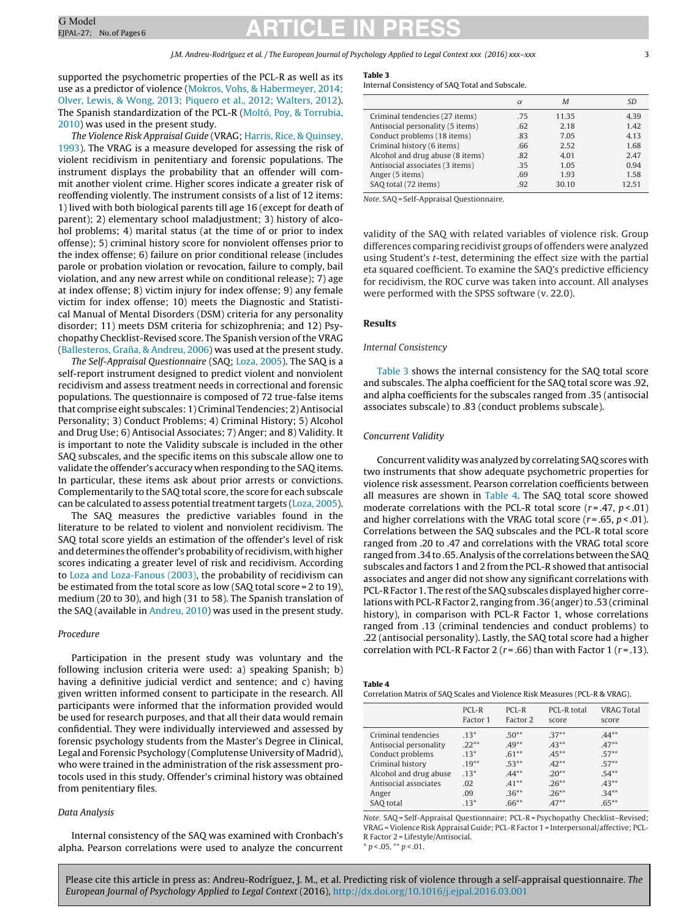J.M. Andreu-Rodríguez et al. / The European Journal of Psychology Applied to Legal Context xxx (2016) xxx–xxx 3

supported the psychometric properties of the PCL-R as well as its use as a predictor of violence ([Mokros,](#page-5-0) [Vohs,](#page-5-0) [&](#page-5-0) [Habermeyer,](#page-5-0) [2014;](#page-5-0) [Olver,](#page-5-0) [Lewis,](#page-5-0) [&](#page-5-0) [Wong,](#page-5-0) [2013;](#page-5-0) [Piquero](#page-5-0) et [al.,](#page-5-0) [2012;](#page-5-0) [Walters,](#page-5-0) [2012\).](#page-5-0) The Spanish standardization of the PCL-R [\(Moltó,](#page-5-0) [Poy,](#page-5-0) [&](#page-5-0) [Torrubia,](#page-5-0) [2010\)](#page-5-0) was used in the present study.

The Violence Risk Appraisal Guide (VRAG; [Harris,](#page-5-0) [Rice,](#page-5-0) [&](#page-5-0) [Quinsey,](#page-5-0) [1993\).](#page-5-0) The VRAG is a measure developed for assessing the risk of violent recidivism in penitentiary and forensic populations. The instrument displays the probability that an offender will commit another violent crime. Higher scores indicate a greater risk of reoffending violently. The instrument consists of a list of 12 items: 1) lived with both biological parents till age 16 (except for death of parent); 2) elementary school maladjustment; 3) history of alcohol problems; 4) marital status (at the time of or prior to index offense); 5) criminal history score for nonviolent offenses prior to the index offense; 6) failure on prior conditional release (includes parole or probation violation or revocation, failure to comply, bail violation, and any new arrest while on conditional release); 7) age at index offense; 8) victim injury for index offense; 9) any female victim for index offense; 10) meets the Diagnostic and Statistical Manual of Mental Disorders (DSM) criteria for any personality disorder; 11) meets DSM criteria for schizophrenia; and 12) Psychopathy Checklist-Revised score. The Spanish version of the VRAG ([Ballesteros,](#page-5-0) Graña, [&](#page-5-0) [Andreu,](#page-5-0) [2006\)](#page-5-0) was used at the present study.

The Self-Appraisal Questionnaire (SAQ; [Loza,](#page-5-0) [2005\).](#page-5-0) The SAQ is a self-report instrument designed to predict violent and nonviolent recidivism and assess treatment needs in correctional and forensic populations. The questionnaire is composed of 72 true-false items that comprise eight subscales: 1) Criminal Tendencies; 2) Antisocial Personality; 3) Conduct Problems; 4) Criminal History; 5) Alcohol and Drug Use; 6) Antisocial Associates; 7) Anger; and 8) Validity. It is important to note the Validity subscale is included in the other SAQ subscales, and the specific items on this subscale allow one to validate the offender's accuracy when responding to the SAQ items. In particular, these items ask about prior arrests or convictions. Complementarily to the SAQ total score, the score for each subscale can be calculated to assess potential treatment targets [\(Loza,](#page-5-0) [2005\).](#page-5-0)

The SAQ measures the predictive variables found in the literature to be related to violent and nonviolent recidivism. The SAQ total score yields an estimation of the offender's level of risk and determines the offender's probability of recidivism, with higher scores indicating a greater level of risk and recidivism. According to [Loza](#page-5-0) [and](#page-5-0) [Loza-Fanous](#page-5-0) [\(2003\),](#page-5-0) the probability of recidivism can be estimated from the total score as low (SAQ total score = 2 to 19), medium (20 to 30), and high (31 to 58). The Spanish translation of the SAQ (available in [Andreu,](#page-5-0) [2010\)](#page-5-0) was used in the present study.

#### Procedure

Participation in the present study was voluntary and the following inclusion criteria were used: a) speaking Spanish; b) having a definitive judicial verdict and sentence; and c) having given written informed consent to participate in the research. All participants were informed that the information provided would be used for research purposes, and that all their data would remain confidential. They were individually interviewed and assessed by forensic psychology students from the Master's Degree in Clinical, Legal and Forensic Psychology (Complutense University of Madrid), who were trained in the administration of the risk assessment protocols used in this study. Offender's criminal history was obtained from penitentiary files.

#### Data Analysis

Internal consistency of the SAQ was examined with Cronbach's alpha. Pearson correlations were used to analyze the concurrent

#### **Table 3**

Internal Consistency of SAQ Total and Subscale.

|                                  | $\alpha$ | M     | SD    |
|----------------------------------|----------|-------|-------|
| Criminal tendencies (27 items)   | .75      | 11.35 | 4.39  |
| Antisocial personality (5 items) | .62      | 2.18  | 1.42  |
| Conduct problems (18 items)      | .83      | 7.05  | 4.13  |
| Criminal history (6 items)       | .66      | 2.52  | 1.68  |
| Alcohol and drug abuse (8 items) | .82      | 4.01  | 2.47  |
| Antisocial associates (3 items)  | .35      | 1.05  | 0.94  |
| Anger (5 items)                  | .69      | 1.93  | 1.58  |
| SAQ total (72 items)             | .92      | 30.10 | 12.51 |

Note. SAQ = Self-Appraisal Questionnaire.

validity of the SAQ with related variables of violence risk. Group differences comparing recidivist groups of offenders were analyzed using Student's t-test, determining the effect size with the partial eta squared coefficient. To examine the SAQ's predictive efficiency for recidivism, the ROC curve was taken into account. All analyses were performed with the SPSS software (v. 22.0).

#### **Results**

#### Internal Consistency

Table 3 shows the internal consistency for the SAQ total score and subscales. The alpha coefficient for the SAQ total score was .92, and alpha coefficients for the subscales ranged from .35 (antisocial associates subscale) to .83 (conduct problems subscale).

#### Concurrent Validity

Concurrent validity was analyzed by correlating SAQ scores with two instruments that show adequate psychometric properties for violence risk assessment. Pearson correlation coefficients between all measures are shown in Table 4. The SAQ total score showed moderate correlations with the PCL-R total score  $(r=.47, p<.01)$ and higher correlations with the VRAG total score ( $r = .65$ ,  $p < .01$ ). Correlations between the SAQ subscales and the PCL-R total score ranged from .20 to .47 and correlations with the VRAG total score ranged from .34 to .65. Analysis of the correlations between the SAQ subscales and factors 1 and 2 from the PCL-R showed that antisocial associates and anger did not show any significant correlations with PCL-R Factor 1. The rest of the SAQ subscales displayed higher correlations with PCL-R Factor 2, ranging from .36 (anger) to .53 (criminal history), in comparison with PCL-R Factor 1, whose correlations ranged from .13 (criminal tendencies and conduct problems) to .22 (antisocial personality). Lastly, the SAQ total score had a higher correlation with PCL-R Factor 2 ( $r = .66$ ) than with Factor 1 ( $r = .13$ ).

Correlation Matrix of SAQ Scales and Violence Risk Measures (PCL-R & VRAG).

|                        | PCL-R<br>Factor 1 | PCL-R<br>Factor 2 | PCL-R total<br>score | <b>VRAG Total</b><br>score |
|------------------------|-------------------|-------------------|----------------------|----------------------------|
| Criminal tendencies    | $.13*$            | $.50**$           | $.37***$             | $.44***$                   |
| Antisocial personality | $.22***$          | $.49**$           | $.43***$             | $.47***$                   |
| Conduct problems       | $.13*$            | $.61***$          | $.45***$             | $.57***$                   |
| Criminal history       | $.19***$          | $.53***$          | $.42***$             | $.57***$                   |
| Alcohol and drug abuse | $.13*$            | $.44***$          | $.20**$              | $.54***$                   |
| Antisocial associates  | .02               | $.41***$          | $.26***$             | $.43***$                   |
| Anger                  | .09               | $.36***$          | $.26***$             | $.34***$                   |
| SAQ total              | $.13*$            | $.66***$          | $.47***$             | $.65***$                   |

Note. SAQ = Self-Appraisal Questionnaire; PCL-R = Psychopathy Checklist–Revised; VRAG =Violence Risk Appraisal Guide; PCL-R Factor 1 = Interpersonal/affective; PCL-R Factor 2 = Lifestyle/Antisocial.  $*$  p < .05,  $*$  p < .01.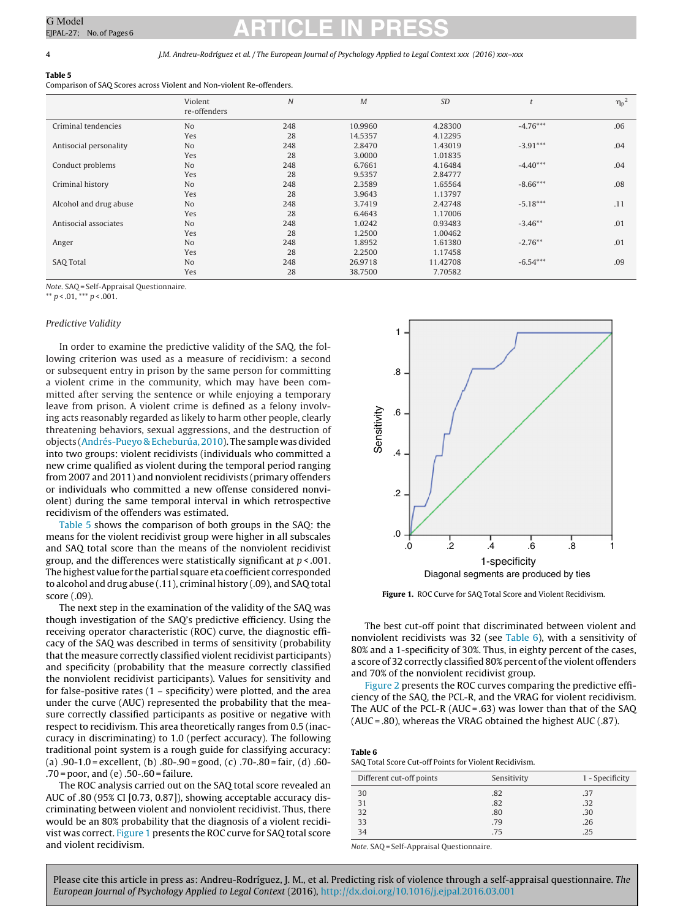## 4 J.M. Andreu-Rodríguez et al. / The European Journal of Psychology Applied to Legal Context xxx (2016) xxx–xxx

### **Table 5**

Comparison of SAQ Scores across Violent and Non-violent Re-offenders.

|                        | Violent<br>re-offenders | N   | M       | <b>SD</b> |            | $\eta_p^2$ |
|------------------------|-------------------------|-----|---------|-----------|------------|------------|
| Criminal tendencies    | N <sub>o</sub>          | 248 | 10.9960 | 4.28300   | $-4.76***$ | .06        |
|                        | Yes                     | 28  | 14.5357 | 4.12295   |            |            |
| Antisocial personality | N <sub>o</sub>          | 248 | 2.8470  | 1.43019   | $-3.91***$ | .04        |
|                        | Yes                     | 28  | 3.0000  | 1.01835   |            |            |
| Conduct problems       | N <sub>0</sub>          | 248 | 6.7661  | 4.16484   | $-4.40***$ | .04        |
|                        | Yes                     | 28  | 9.5357  | 2.84777   |            |            |
| Criminal history       | N <sub>o</sub>          | 248 | 2.3589  | 1.65564   | $-8.66***$ | .08        |
|                        | Yes                     | 28  | 3.9643  | 1.13797   |            |            |
| Alcohol and drug abuse | N <sub>o</sub>          | 248 | 3.7419  | 2.42748   | $-5.18***$ | .11        |
|                        | Yes                     | 28  | 6.4643  | 1.17006   |            |            |
| Antisocial associates  | N <sub>o</sub>          | 248 | 1.0242  | 0.93483   | $-3.46**$  | .01        |
|                        | Yes                     | 28  | 1.2500  | 1.00462   |            |            |
| Anger                  | N <sub>o</sub>          | 248 | 1.8952  | 1.61380   | $-2.76***$ | .01        |
|                        | Yes                     | 28  | 2.2500  | 1.17458   |            |            |
| <b>SAQ Total</b>       | N <sub>o</sub>          | 248 | 26.9718 | 11.42708  | $-6.54***$ | .09        |
|                        | Yes                     | 28  | 38.7500 | 7.70582   |            |            |

Note. SAQ = Self-Appraisal Questionnaire.

\*\*  $p < 0.01$ , \*\*\*  $p < 0.001$ .

#### Predictive Validity

In order to examine the predictive validity of the SAQ, the following criterion was used as a measure of recidivism: a second or subsequent entry in prison by the same person for committing a violent crime in the community, which may have been committed after serving the sentence or while enjoying a temporary leave from prison. A violent crime is defined as a felony involving acts reasonably regarded as likely to harm other people, clearly threatening behaviors, sexual aggressions, and the destruction of objects [\(Andrés-Pueyo](#page-5-0) [&](#page-5-0) [Echeburúa,](#page-5-0) [2010\).](#page-5-0) The sample was divided into two groups: violent recidivists (individuals who committed a new crime qualified as violent during the temporal period ranging from 2007 and 2011) and nonviolent recidivists (primary offenders or individuals who committed a new offense considered nonviolent) during the same temporal interval in which retrospective recidivism of the offenders was estimated.

Table 5 shows the comparison of both groups in the SAQ: the means for the violent recidivist group were higher in all subscales and SAQ total score than the means of the nonviolent recidivist group, and the differences were statistically significant at  $p < .001$ . The highest value for the partial square eta coefficient corresponded to alcohol and drug abuse (.11), criminal history (.09), and SAQ total score (.09).

The next step in the examination of the validity of the SAQ was though investigation of the SAQ's predictive efficiency. Using the receiving operator characteristic (ROC) curve, the diagnostic efficacy of the SAQ was described in terms of sensitivity (probability that the measure correctly classified violent recidivist participants) and specificity (probability that the measure correctly classified the nonviolent recidivist participants). Values for sensitivity and for false-positive rates  $(1 - \text{specificity})$  were plotted, and the area under the curve (AUC) represented the probability that the measure correctly classified participants as positive or negative with respect to recidivism. This area theoretically ranges from 0.5 (inaccuracy in discriminating) to 1.0 (perfect accuracy). The following traditional point system is a rough guide for classifying accuracy: (a) .90-1.0 = excellent, (b) .80-.90 = good, (c) .70-.80 = fair, (d) .60- .70 = poor, and (e) .50-.60 = failure.

The ROC analysis carried out on the SAQ total score revealed an AUC of .80 (95% CI [0.73, 0.87]), showing acceptable accuracy discriminating between violent and nonviolent recidivist. Thus, there would be an 80% probability that the diagnosis of a violent recidivist was correct. Figure 1 presents the ROC curve for SAQ total score and violent recidivism.



**Figure 1.** ROC Curve for SAQ Total Score and Violent Recidivism.

The best cut-off point that discriminated between violent and nonviolent recidivists was 32 (see Table 6), with a sensitivity of 80% and a 1-specificity of 30%. Thus, in eighty percent of the cases, a score of 32 correctly classified 80% percent of the violent offenders and 70% of the nonviolent recidivist group.

[Figure](#page-4-0) 2 presents the ROC curves comparing the predictive efficiency of the SAQ, the PCL-R, and the VRAG for violent recidivism. The AUC of the PCL-R (AUC = .63) was lower than that of the SAQ  $(AUC = .80)$ , whereas the VRAG obtained the highest AUC  $(.87)$ .

#### **Table 6**

SAQ Total Score Cut-off Points for Violent Recidivism.

| Different cut-off points | Sensitivity | 1 - Specificity |
|--------------------------|-------------|-----------------|
| 30                       | .82         | .37             |
| 31                       | .82         | .32             |
|                          | .80         | .30             |
| 32<br>33<br>34           | .79         | .26             |
|                          | .75         | .25             |

Note. SAQ = Self-Appraisal Questionnaire.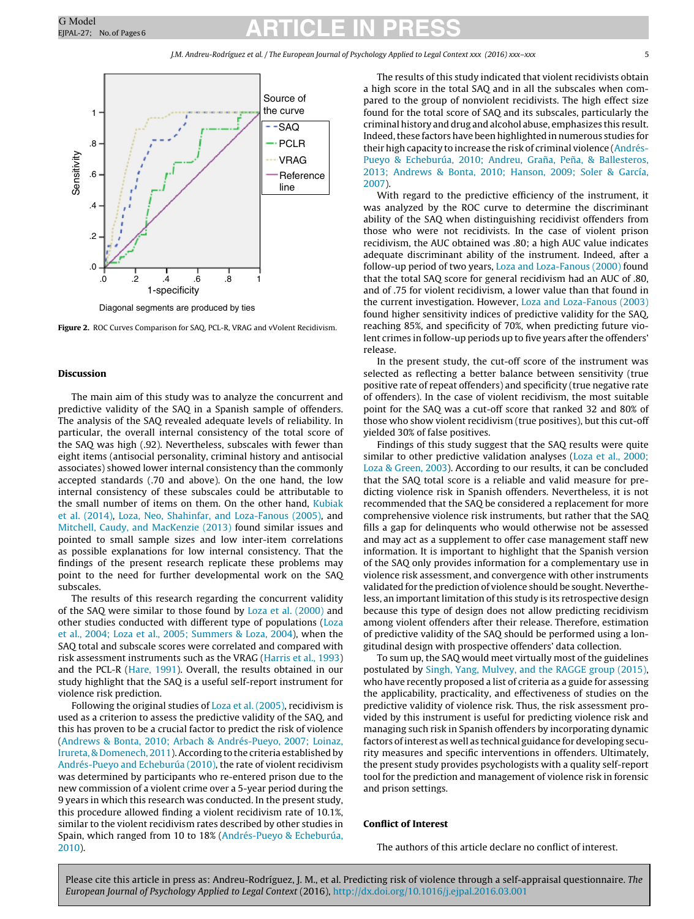J.M. Andreu-Rodríguez et al. / The European Journal of Psychology Applied to Legal Context xxx (2016) xxx–xxx 5

<span id="page-4-0"></span>

**Figure 2.** ROC Curves Comparison for SAQ, PCL-R, VRAG and vVolent Recidivism.

#### **Discussion**

The main aim of this study was to analyze the concurrent and predictive validity of the SAQ in a Spanish sample of offenders. The analysis of the SAQ revealed adequate levels of reliability. In particular, the overall internal consistency of the total score of the SAQ was high (.92). Nevertheless, subscales with fewer than eight items (antisocial personality, criminal history and antisocial associates) showed lower internal consistency than the commonly accepted standards (.70 and above). On the one hand, the low internal consistency of these subscales could be attributable to the small number of items on them. On the other hand, [Kubiak](#page-5-0) et [al.](#page-5-0) [\(2014\),](#page-5-0) [Loza,](#page-5-0) [Neo,](#page-5-0) [Shahinfar,](#page-5-0) [and](#page-5-0) [Loza-Fanous](#page-5-0) [\(2005\),](#page-5-0) and [Mitchell,](#page-5-0) [Caudy,](#page-5-0) [and](#page-5-0) [MacKenzie](#page-5-0) [\(2013\)](#page-5-0) found similar issues and pointed to small sample sizes and low inter-item correlations as possible explanations for low internal consistency. That the findings of the present research replicate these problems may point to the need for further developmental work on the SAQ subscales.

The results of this research regarding the concurrent validity of the SAQ were similar to those found by [Loza](#page-5-0) et [al.](#page-5-0) [\(2000\)](#page-5-0) and other studies conducted with different type of populations [\(Loza](#page-5-0) et [al.,](#page-5-0) [2004;](#page-5-0) [Loza](#page-5-0) et [al.,](#page-5-0) [2005;](#page-5-0) [Summers](#page-5-0) [&](#page-5-0) [Loza,](#page-5-0) [2004\),](#page-5-0) when the SAQ total and subscale scores were correlated and compared with risk assessment instruments such as the VRAG [\(Harris](#page-5-0) et [al.,](#page-5-0) [1993\)](#page-5-0) and the PCL-R ([Hare,](#page-5-0) [1991\).](#page-5-0) Overall, the results obtained in our study highlight that the SAQ is a useful self-report instrument for violence risk prediction.

Following the original studies of [Loza](#page-5-0) et [al.](#page-5-0) [\(2005\),](#page-5-0) recidivism is used as a criterion to assess the predictive validity of the SAQ, and this has proven to be a crucial factor to predict the risk of violence ([Andrews](#page-5-0) [&](#page-5-0) [Bonta,](#page-5-0) [2010;](#page-5-0) [Arbach](#page-5-0) [&](#page-5-0) [Andrés-Pueyo,](#page-5-0) [2007;](#page-5-0) [Loinaz,](#page-5-0) [Irureta,](#page-5-0) [&](#page-5-0) [Domenech,](#page-5-0) [2011\).](#page-5-0) According to the criteria established by [Andrés-Pueyo](#page-5-0) [and](#page-5-0) [Echeburúa](#page-5-0) [\(2010\),](#page-5-0) the rate of violent recidivism was determined by participants who re-entered prison due to the new commission of a violent crime over a 5-year period during the 9 years in which this research was conducted. In the present study, this procedure allowed finding a violent recidivism rate of 10.1%, similar to the violent recidivism rates described by other studies in Spain, which ranged from 10 to 18% [\(Andrés-Pueyo](#page-5-0) [&](#page-5-0) [Echeburúa,](#page-5-0) [2010\).](#page-5-0)

The results of this study indicated that violent recidivists obtain a high score in the total SAQ and in all the subscales when compared to the group of nonviolent recidivists. The high effect size found for the total score of SAQ and its subscales, particularly the criminal history and drug and alcohol abuse, emphasizes this result. Indeed, these factors have been highlighted in numerous studies for their high capacity to increase the risk of criminal violence [\(Andrés-](#page-5-0)Pueyo [&](#page-5-0) [Echeburúa,](#page-5-0) [2010;](#page-5-0) [Andreu,](#page-5-0) Graña, Peña, & [Ballesteros,](#page-5-0) [2013;](#page-5-0) [Andrews](#page-5-0) [&](#page-5-0) [Bonta,](#page-5-0) [2010;](#page-5-0) [Hanson,](#page-5-0) [2009;](#page-5-0) [Soler](#page-5-0) [&](#page-5-0) [García,](#page-5-0) [2007\).](#page-5-0)

With regard to the predictive efficiency of the instrument, it was analyzed by the ROC curve to determine the discriminant ability of the SAQ when distinguishing recidivist offenders from those who were not recidivists. In the case of violent prison recidivism, the AUC obtained was .80; a high AUC value indicates adequate discriminant ability of the instrument. Indeed, after a follow-up period of two years, [Loza](#page-5-0) [and](#page-5-0) [Loza-Fanous](#page-5-0) [\(2000\)](#page-5-0) found that the total SAQ score for general recidivism had an AUC of .80, and of .75 for violent recidivism, a lower value than that found in the current investigation. However, [Loza](#page-5-0) [and](#page-5-0) [Loza-Fanous](#page-5-0) [\(2003\)](#page-5-0) found higher sensitivity indices of predictive validity for the SAQ, reaching 85%, and specificity of 70%, when predicting future violent crimes in follow-up periods up to five years after the offenders' release.

In the present study, the cut-off score of the instrument was selected as reflecting a better balance between sensitivity (true positive rate of repeat offenders) and specificity (true negative rate of offenders). In the case of violent recidivism, the most suitable point for the SAQ was a cut-off score that ranked 32 and 80% of those who show violent recidivism (true positives), but this cut-off yielded 30% of false positives.

Findings of this study suggest that the SAQ results were quite similar to other predictive validation analyses [\(Loza](#page-5-0) et [al.,](#page-5-0) [2000;](#page-5-0) [Loza](#page-5-0) [&](#page-5-0) [Green,](#page-5-0) [2003\).](#page-5-0) According to our results, it can be concluded that the SAQ total score is a reliable and valid measure for predicting violence risk in Spanish offenders. Nevertheless, it is not recommended that the SAQ be considered a replacement for more comprehensive violence risk instruments, but rather that the SAQ fills a gap for delinquents who would otherwise not be assessed and may act as a supplement to offer case management staff new information. It is important to highlight that the Spanish version of the SAQ only provides information for a complementary use in violence risk assessment, and convergence with other instruments validated for the prediction of violence should be sought. Nevertheless, an important limitation of this study is its retrospective design because this type of design does not allow predicting recidivism among violent offenders after their release. Therefore, estimation of predictive validity of the SAQ should be performed using a longitudinal design with prospective offenders' data collection.

To sum up, the SAQ would meet virtually most of the guidelines postulated by [Singh,](#page-5-0) [Yang,](#page-5-0) [Mulvey,](#page-5-0) [and](#page-5-0) [the](#page-5-0) [RAGGE](#page-5-0) [group](#page-5-0) [\(2015\),](#page-5-0) who have recently proposed a list of criteria as a guide for assessing the applicability, practicality, and effectiveness of studies on the predictive validity of violence risk. Thus, the risk assessment provided by this instrument is useful for predicting violence risk and managing such risk in Spanish offenders by incorporating dynamic factors ofinterest as well as technical guidance for developing security measures and specific interventions in offenders. Ultimately, the present study provides psychologists with a quality self-report tool for the prediction and management of violence risk in forensic and prison settings.

#### **Conflict of Interest**

The authors of this article declare no conflict of interest.